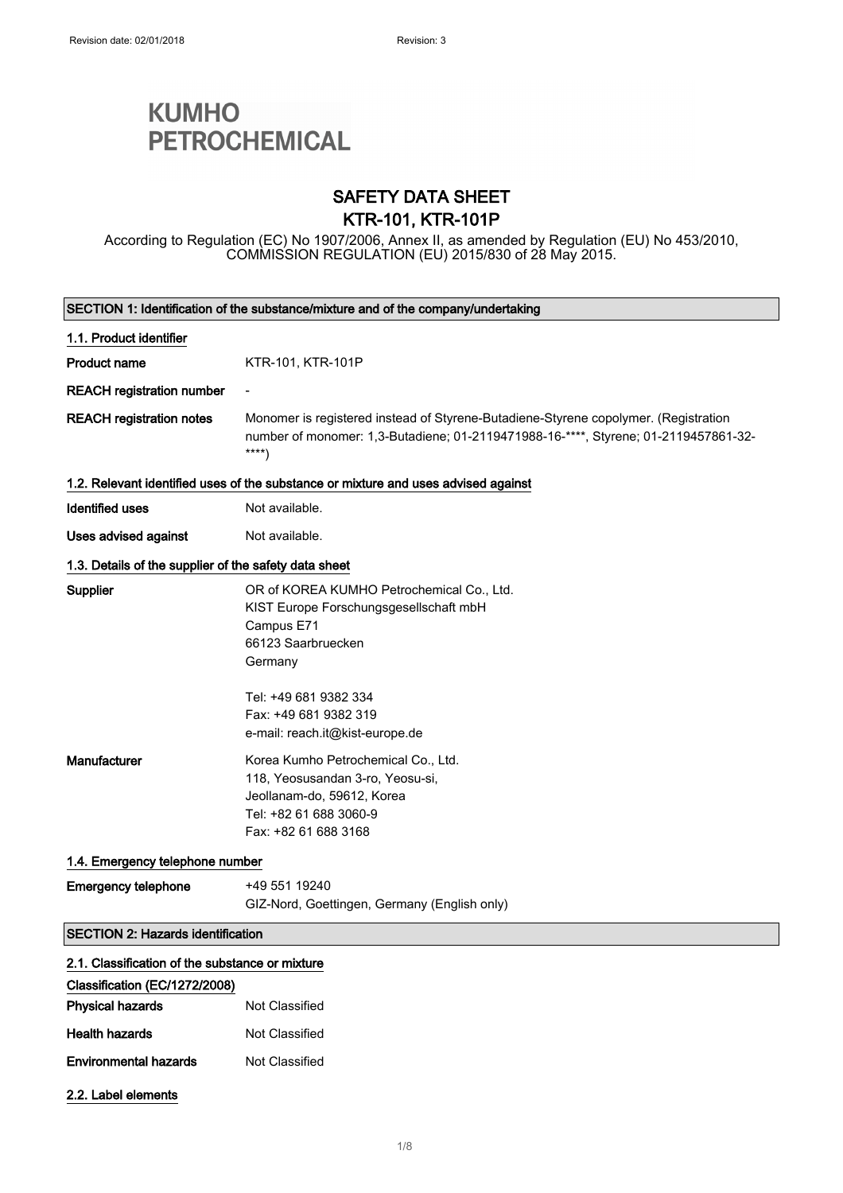# **KUMHO PETROCHEMICAL**

### SAFETY DATA SHEET KTR-101, KTR-101P

According to Regulation (EC) No 1907/2006, Annex II, as amended by Regulation (EU) No 453/2010, COMMISSION REGULATION (EU) 2015/830 of 28 May 2015.

| SECTION 1: Identification of the substance/mixture and of the company/undertaking |                                                                                                                                                                                                                         |
|-----------------------------------------------------------------------------------|-------------------------------------------------------------------------------------------------------------------------------------------------------------------------------------------------------------------------|
| 1.1. Product identifier                                                           |                                                                                                                                                                                                                         |
| <b>Product name</b>                                                               | KTR-101, KTR-101P                                                                                                                                                                                                       |
| <b>REACH registration number</b>                                                  |                                                                                                                                                                                                                         |
| <b>REACH registration notes</b>                                                   | Monomer is registered instead of Styrene-Butadiene-Styrene copolymer. (Registration<br>number of monomer: 1,3-Butadiene; 01-2119471988-16-****, Styrene; 01-2119457861-32-<br>$***$                                     |
|                                                                                   | 1.2. Relevant identified uses of the substance or mixture and uses advised against                                                                                                                                      |
| <b>Identified uses</b>                                                            | Not available.                                                                                                                                                                                                          |
| Uses advised against                                                              | Not available.                                                                                                                                                                                                          |
| 1.3. Details of the supplier of the safety data sheet                             |                                                                                                                                                                                                                         |
| <b>Supplier</b>                                                                   | OR of KOREA KUMHO Petrochemical Co., Ltd.<br>KIST Europe Forschungsgesellschaft mbH<br>Campus E71<br>66123 Saarbruecken<br>Germany<br>Tel: +49 681 9382 334<br>Fax: +49 681 9382 319<br>e-mail: reach.it@kist-europe.de |
| Manufacturer                                                                      | Korea Kumho Petrochemical Co., Ltd.<br>118, Yeosusandan 3-ro, Yeosu-si,<br>Jeollanam-do, 59612, Korea<br>Tel: +82 61 688 3060-9<br>Fax: +82 61 688 3168                                                                 |
| 1.4. Emergency telephone number                                                   |                                                                                                                                                                                                                         |
| <b>Emergency telephone</b>                                                        | +49 551 19240<br>GIZ-Nord, Goettingen, Germany (English only)                                                                                                                                                           |
| <b>SECTION 2: Hazards identification</b>                                          |                                                                                                                                                                                                                         |
| 2.1. Classification of the substance or mixture                                   |                                                                                                                                                                                                                         |
| Classification (EC/1272/2008)                                                     |                                                                                                                                                                                                                         |
| <b>Physical hazards</b>                                                           | Not Classified                                                                                                                                                                                                          |
| <b>Health hazards</b>                                                             | Not Classified                                                                                                                                                                                                          |
| <b>Environmental hazards</b>                                                      | Not Classified                                                                                                                                                                                                          |
| 2.2. Label elements                                                               |                                                                                                                                                                                                                         |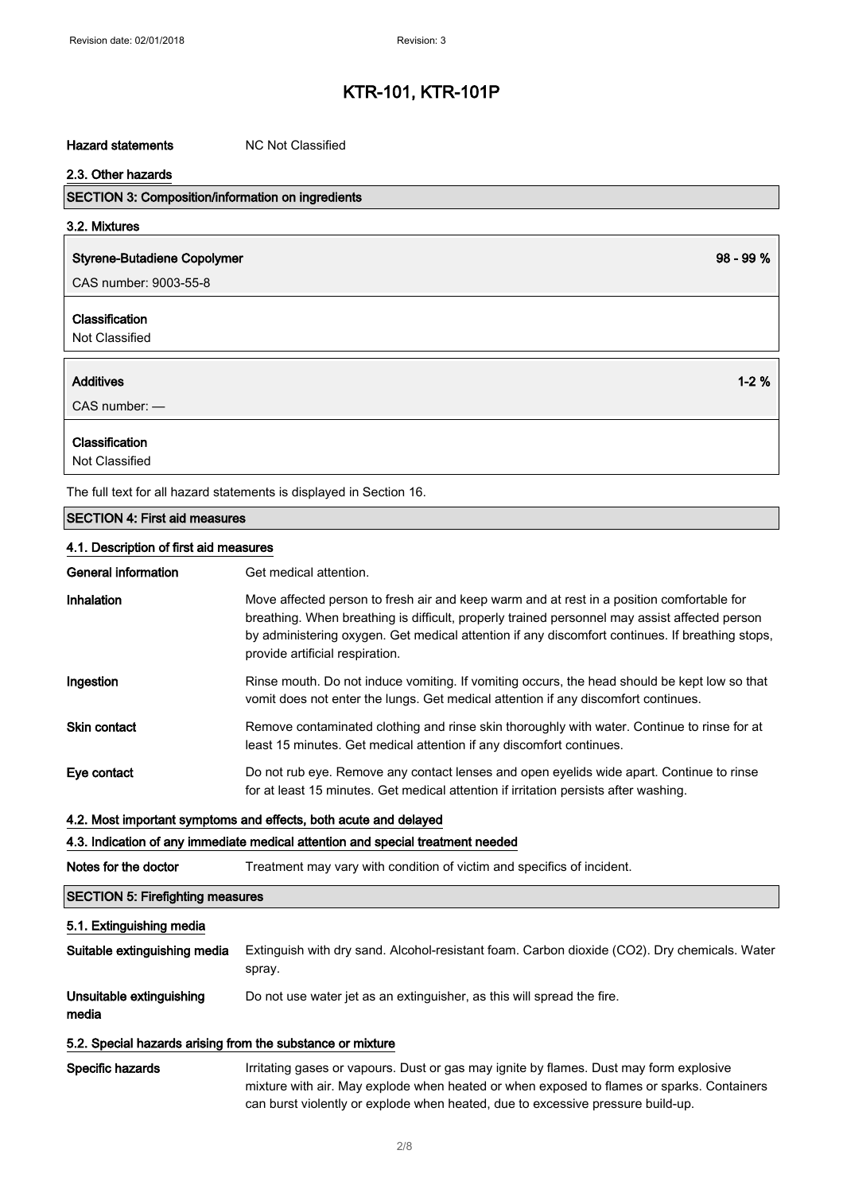#### Hazard statements MC Not Classified

| 2.3. Other hazards                                       |             |
|----------------------------------------------------------|-------------|
| <b>SECTION 3: Composition/information on ingredients</b> |             |
| 3.2. Mixtures                                            |             |
| <b>Styrene-Butadiene Copolymer</b>                       | $98 - 99 %$ |
| CAS number: 9003-55-8                                    |             |
| Classification<br>Not Classified                         |             |
| <b>Additives</b><br>$CAS$ number: $-$                    | $1 - 2%$    |
| Classification<br>Not Classified                         |             |

The full text for all hazard statements is displayed in Section 16.

#### SECTION 4: First aid measures

#### 4.1. Description of first aid measures

| General information | Get medical attention.                                                                                                                                                                                                                                                                                                           |
|---------------------|----------------------------------------------------------------------------------------------------------------------------------------------------------------------------------------------------------------------------------------------------------------------------------------------------------------------------------|
| Inhalation          | Move affected person to fresh air and keep warm and at rest in a position comfortable for<br>breathing. When breathing is difficult, properly trained personnel may assist affected person<br>by administering oxygen. Get medical attention if any discomfort continues. If breathing stops,<br>provide artificial respiration. |
| Ingestion           | Rinse mouth. Do not induce vomiting. If vomiting occurs, the head should be kept low so that<br>vomit does not enter the lungs. Get medical attention if any discomfort continues.                                                                                                                                               |
| <b>Skin contact</b> | Remove contaminated clothing and rinse skin thoroughly with water. Continue to rinse for at<br>least 15 minutes. Get medical attention if any discomfort continues.                                                                                                                                                              |
| Eye contact         | Do not rub eye. Remove any contact lenses and open eyelids wide apart. Continue to rinse<br>for at least 15 minutes. Get medical attention if irritation persists after washing.                                                                                                                                                 |

#### 4.2. Most important symptoms and effects, both acute and delayed

## 4.3. Indication of any immediate medical attention and special treatment needed

Notes for the doctor Treatment may vary with condition of victim and specifics of incident.

### SECTION 5: Firefighting measures

#### 5.1. Extinguishing media

| Suitable extinguishing media      | Extinguish with dry sand. Alcohol-resistant foam. Carbon dioxide (CO2). Dry chemicals. Water<br>spray. |
|-----------------------------------|--------------------------------------------------------------------------------------------------------|
| Unsuitable extinguishing<br>media | Do not use water jet as an extinguisher, as this will spread the fire.                                 |

#### 5.2. Special hazards arising from the substance or mixture

Specific hazards **Irritating gases or vapours.** Dust or gas may ignite by flames. Dust may form explosive mixture with air. May explode when heated or when exposed to flames or sparks. Containers can burst violently or explode when heated, due to excessive pressure build-up.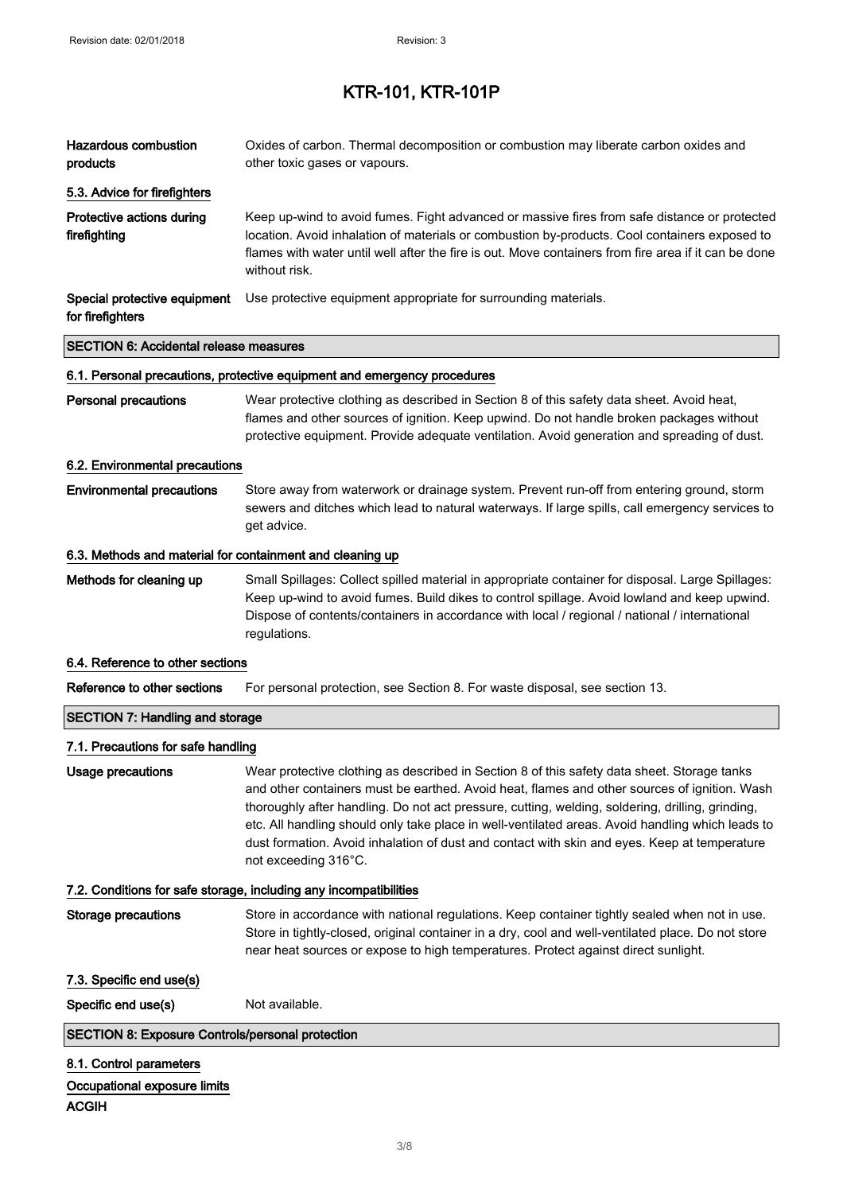| <b>Hazardous combustion</b><br>products                                 | Oxides of carbon. Thermal decomposition or combustion may liberate carbon oxides and<br>other toxic gases or vapours.                                                                                                                                                                                                                                                                                                                                                                                                       |
|-------------------------------------------------------------------------|-----------------------------------------------------------------------------------------------------------------------------------------------------------------------------------------------------------------------------------------------------------------------------------------------------------------------------------------------------------------------------------------------------------------------------------------------------------------------------------------------------------------------------|
| 5.3. Advice for firefighters                                            |                                                                                                                                                                                                                                                                                                                                                                                                                                                                                                                             |
| Protective actions during<br>firefighting                               | Keep up-wind to avoid fumes. Fight advanced or massive fires from safe distance or protected<br>location. Avoid inhalation of materials or combustion by-products. Cool containers exposed to<br>flames with water until well after the fire is out. Move containers from fire area if it can be done<br>without risk.                                                                                                                                                                                                      |
| Special protective equipment<br>for firefighters                        | Use protective equipment appropriate for surrounding materials.                                                                                                                                                                                                                                                                                                                                                                                                                                                             |
| <b>SECTION 6: Accidental release measures</b>                           |                                                                                                                                                                                                                                                                                                                                                                                                                                                                                                                             |
|                                                                         | 6.1. Personal precautions, protective equipment and emergency procedures                                                                                                                                                                                                                                                                                                                                                                                                                                                    |
| <b>Personal precautions</b>                                             | Wear protective clothing as described in Section 8 of this safety data sheet. Avoid heat,<br>flames and other sources of ignition. Keep upwind. Do not handle broken packages without<br>protective equipment. Provide adequate ventilation. Avoid generation and spreading of dust.                                                                                                                                                                                                                                        |
| 6.2. Environmental precautions                                          |                                                                                                                                                                                                                                                                                                                                                                                                                                                                                                                             |
| <b>Environmental precautions</b>                                        | Store away from waterwork or drainage system. Prevent run-off from entering ground, storm<br>sewers and ditches which lead to natural waterways. If large spills, call emergency services to<br>get advice.                                                                                                                                                                                                                                                                                                                 |
| 6.3. Methods and material for containment and cleaning up               |                                                                                                                                                                                                                                                                                                                                                                                                                                                                                                                             |
| Methods for cleaning up                                                 | Small Spillages: Collect spilled material in appropriate container for disposal. Large Spillages:<br>Keep up-wind to avoid fumes. Build dikes to control spillage. Avoid lowland and keep upwind.<br>Dispose of contents/containers in accordance with local / regional / national / international<br>regulations.                                                                                                                                                                                                          |
| 6.4. Reference to other sections                                        |                                                                                                                                                                                                                                                                                                                                                                                                                                                                                                                             |
| Reference to other sections                                             | For personal protection, see Section 8. For waste disposal, see section 13.                                                                                                                                                                                                                                                                                                                                                                                                                                                 |
| <b>SECTION 7: Handling and storage</b>                                  |                                                                                                                                                                                                                                                                                                                                                                                                                                                                                                                             |
| 7.1. Precautions for safe handling                                      |                                                                                                                                                                                                                                                                                                                                                                                                                                                                                                                             |
| <b>Usage precautions</b>                                                | Wear protective clothing as described in Section 8 of this safety data sheet. Storage tanks<br>and other containers must be earthed. Avoid heat, flames and other sources of ignition. Wash<br>thoroughly after handling. Do not act pressure, cutting, welding, soldering, drilling, grinding,<br>etc. All handling should only take place in well-ventilated areas. Avoid handling which leads to<br>dust formation. Avoid inhalation of dust and contact with skin and eyes. Keep at temperature<br>not exceeding 316°C. |
|                                                                         | 7.2. Conditions for safe storage, including any incompatibilities                                                                                                                                                                                                                                                                                                                                                                                                                                                           |
| <b>Storage precautions</b>                                              | Store in accordance with national regulations. Keep container tightly sealed when not in use.<br>Store in tightly-closed, original container in a dry, cool and well-ventilated place. Do not store<br>near heat sources or expose to high temperatures. Protect against direct sunlight.                                                                                                                                                                                                                                   |
| 7.3. Specific end use(s)                                                |                                                                                                                                                                                                                                                                                                                                                                                                                                                                                                                             |
| Specific end use(s)                                                     | Not available.                                                                                                                                                                                                                                                                                                                                                                                                                                                                                                              |
| <b>SECTION 8: Exposure Controls/personal protection</b>                 |                                                                                                                                                                                                                                                                                                                                                                                                                                                                                                                             |
| 8.1. Control parameters<br>Occupational exposure limits<br><b>ACGIH</b> |                                                                                                                                                                                                                                                                                                                                                                                                                                                                                                                             |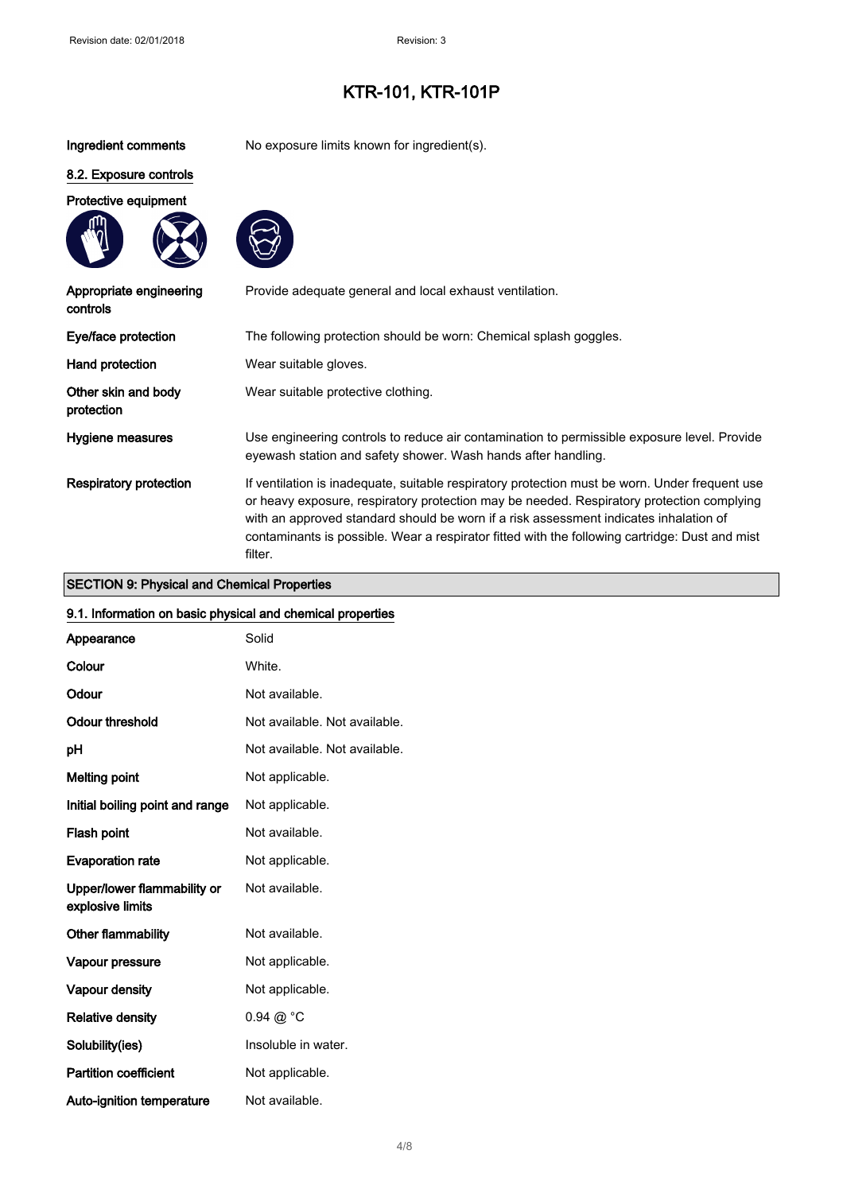Ingredient comments No exposure limits known for ingredient(s).

### 8.2. Exposure controls

Protective equipment





| Appropriate engineering<br>controls    | Provide adequate general and local exhaust ventilation.                                                                                                                                                                                                                                                                                                                                           |
|----------------------------------------|---------------------------------------------------------------------------------------------------------------------------------------------------------------------------------------------------------------------------------------------------------------------------------------------------------------------------------------------------------------------------------------------------|
| Eye/face protection                    | The following protection should be worn: Chemical splash goggles.                                                                                                                                                                                                                                                                                                                                 |
| Hand protection                        | Wear suitable gloves.                                                                                                                                                                                                                                                                                                                                                                             |
| Other skin and body<br>protection      | Wear suitable protective clothing.                                                                                                                                                                                                                                                                                                                                                                |
| Hygiene measures                       | Use engineering controls to reduce air contamination to permissible exposure level. Provide<br>eyewash station and safety shower. Wash hands after handling.                                                                                                                                                                                                                                      |
| <b>Respiratory protection</b>          | If ventilation is inadequate, suitable respiratory protection must be worn. Under frequent use<br>or heavy exposure, respiratory protection may be needed. Respiratory protection complying<br>with an approved standard should be worn if a risk assessment indicates inhalation of<br>contaminants is possible. Wear a respirator fitted with the following cartridge: Dust and mist<br>filter. |
| OEOTION O. DECELLED OF CHARGE DIRECTOR |                                                                                                                                                                                                                                                                                                                                                                                                   |

### SECTION 9: Physical and Chemical Properties

| 9.1. Information on basic physical and chemical properties |                               |
|------------------------------------------------------------|-------------------------------|
| Appearance                                                 | Solid                         |
| Colour                                                     | White.                        |
| Odour                                                      | Not available.                |
| <b>Odour threshold</b>                                     | Not available. Not available. |
| pH                                                         | Not available. Not available. |
| <b>Melting point</b>                                       | Not applicable.               |
| Initial boiling point and range                            | Not applicable.               |
| Flash point                                                | Not available.                |
| <b>Evaporation rate</b>                                    | Not applicable.               |
| Upper/lower flammability or<br>explosive limits            | Not available.                |
| Other flammability                                         | Not available.                |
| Vapour pressure                                            | Not applicable.               |
| Vapour density                                             | Not applicable.               |
| <b>Relative density</b>                                    | $0.94 \text{ @ } ^{\circ}C$   |
| Solubility(ies)                                            | Insoluble in water.           |
| <b>Partition coefficient</b>                               | Not applicable.               |
| Auto-ignition temperature                                  | Not available.                |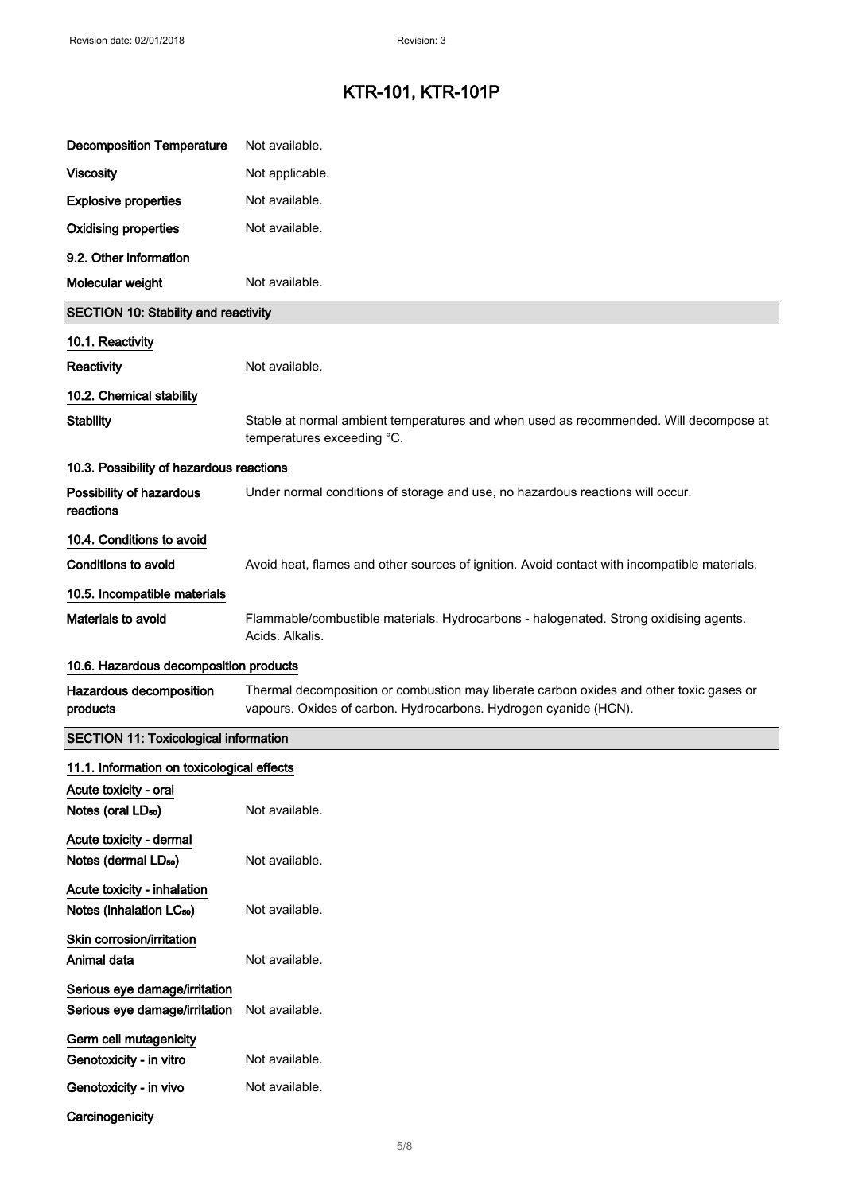| <b>Decomposition Temperature</b>                                    | Not available.                                                                                                                                              |
|---------------------------------------------------------------------|-------------------------------------------------------------------------------------------------------------------------------------------------------------|
| <b>Viscosity</b>                                                    | Not applicable.                                                                                                                                             |
| <b>Explosive properties</b>                                         | Not available.                                                                                                                                              |
| <b>Oxidising properties</b>                                         | Not available.                                                                                                                                              |
| 9.2. Other information                                              |                                                                                                                                                             |
| Molecular weight                                                    | Not available.                                                                                                                                              |
| <b>SECTION 10: Stability and reactivity</b>                         |                                                                                                                                                             |
| 10.1. Reactivity                                                    |                                                                                                                                                             |
| Reactivity                                                          | Not available.                                                                                                                                              |
| 10.2. Chemical stability                                            |                                                                                                                                                             |
| <b>Stability</b>                                                    | Stable at normal ambient temperatures and when used as recommended. Will decompose at<br>temperatures exceeding °C.                                         |
| 10.3. Possibility of hazardous reactions                            |                                                                                                                                                             |
| Possibility of hazardous<br>reactions                               | Under normal conditions of storage and use, no hazardous reactions will occur.                                                                              |
| 10.4. Conditions to avoid                                           |                                                                                                                                                             |
| <b>Conditions to avoid</b>                                          | Avoid heat, flames and other sources of ignition. Avoid contact with incompatible materials.                                                                |
| 10.5. Incompatible materials                                        |                                                                                                                                                             |
| Materials to avoid                                                  | Flammable/combustible materials. Hydrocarbons - halogenated. Strong oxidising agents.<br>Acids, Alkalis,                                                    |
| 10.6. Hazardous decomposition products                              |                                                                                                                                                             |
| Hazardous decomposition<br>products                                 | Thermal decomposition or combustion may liberate carbon oxides and other toxic gases or<br>vapours. Oxides of carbon. Hydrocarbons. Hydrogen cyanide (HCN). |
| <b>SECTION 11: Toxicological information</b>                        |                                                                                                                                                             |
| 11.1. Information on toxicological effects                          |                                                                                                                                                             |
| Acute toxicity - oral<br>Notes (oral LD <sub>50</sub> )             | Not available.                                                                                                                                              |
| Acute toxicity - dermal<br>Notes (dermal LD <sub>50</sub> )         | Not available.                                                                                                                                              |
| Acute toxicity - inhalation<br>Notes (inhalation LC <sub>50</sub> ) | Not available.                                                                                                                                              |
| Skin corrosion/irritation<br>Animal data                            | Not available.                                                                                                                                              |
| Serious eye damage/irritation<br>Serious eye damage/irritation      | Not available.                                                                                                                                              |
| Germ cell mutagenicity<br>Genotoxicity - in vitro                   | Not available.                                                                                                                                              |
| Genotoxicity - in vivo                                              | Not available.                                                                                                                                              |
| Carcinogenicity                                                     |                                                                                                                                                             |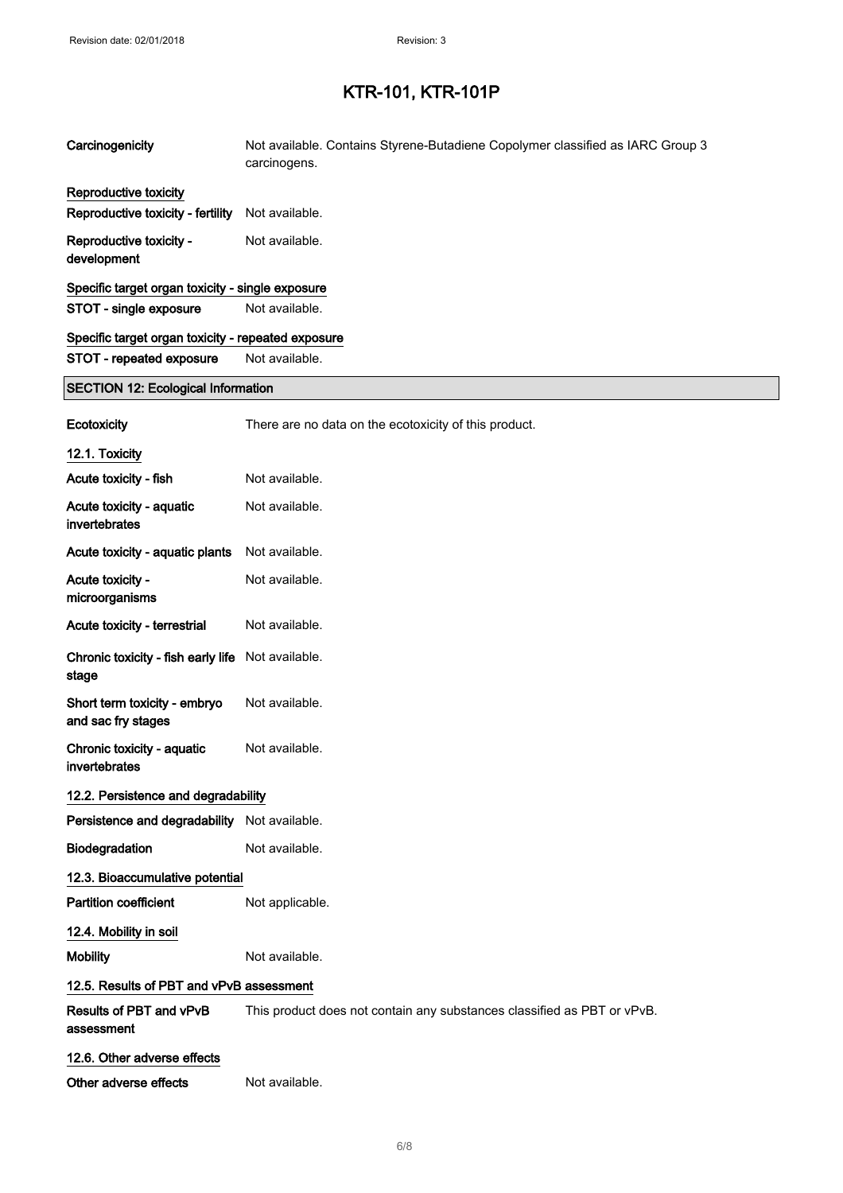| Carcinogenicity                                    | Not available. Contains Styrene-Butadiene Copolymer classified as IARC Group 3<br>carcinogens. |
|----------------------------------------------------|------------------------------------------------------------------------------------------------|
| Reproductive toxicity                              |                                                                                                |
| Reproductive toxicity - fertility                  | Not available.                                                                                 |
| Reproductive toxicity -<br>development             | Not available.                                                                                 |
| Specific target organ toxicity - single exposure   |                                                                                                |
| STOT - single exposure                             | Not available.                                                                                 |
| Specific target organ toxicity - repeated exposure |                                                                                                |
| STOT - repeated exposure                           | Not available.                                                                                 |
| <b>SECTION 12: Ecological Information</b>          |                                                                                                |
| Ecotoxicity                                        | There are no data on the ecotoxicity of this product.                                          |
| 12.1. Toxicity                                     |                                                                                                |
| Acute toxicity - fish                              | Not available.                                                                                 |
| Acute toxicity - aquatic<br>invertebrates          | Not available.                                                                                 |
| Acute toxicity - aquatic plants                    | Not available.                                                                                 |
| Acute toxicity -<br>microorganisms                 | Not available.                                                                                 |
| Acute toxicity - terrestrial                       | Not available.                                                                                 |
| Chronic toxicity - fish early life<br>stage        | Not available.                                                                                 |
| Short term toxicity - embryo<br>and sac fry stages | Not available.                                                                                 |
| Chronic toxicity - aquatic<br>invertebrates        | Not available.                                                                                 |
| 12.2. Persistence and degradability                |                                                                                                |
| Persistence and degradability Not available.       |                                                                                                |
| Biodegradation                                     | Not available.                                                                                 |
| 12.3. Bioaccumulative potential                    |                                                                                                |
| <b>Partition coefficient</b>                       | Not applicable.                                                                                |
| 12.4. Mobility in soil                             |                                                                                                |
| <b>Mobility</b>                                    | Not available.                                                                                 |
| 12.5. Results of PBT and vPvB assessment           |                                                                                                |
| Results of PBT and vPvB<br>assessment              | This product does not contain any substances classified as PBT or vPvB.                        |
| 12.6. Other adverse effects                        |                                                                                                |
| Other adverse effects                              | Not available.                                                                                 |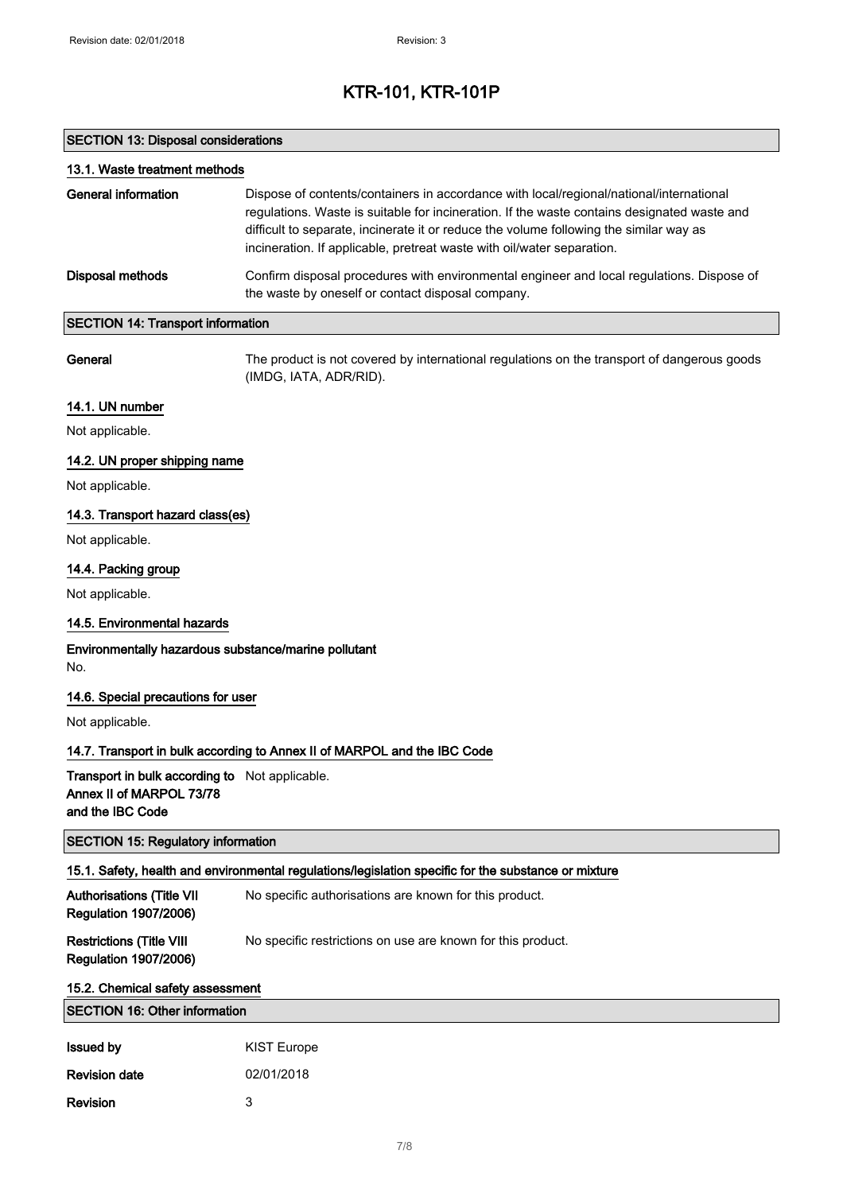### SECTION 13: Disposal considerations

Revision 3

| 13.1. Waste treatment methods                                                                  |                                                                                                                                                                                                                                                                                                                                                            |
|------------------------------------------------------------------------------------------------|------------------------------------------------------------------------------------------------------------------------------------------------------------------------------------------------------------------------------------------------------------------------------------------------------------------------------------------------------------|
| <b>General information</b>                                                                     | Dispose of contents/containers in accordance with local/regional/national/international<br>regulations. Waste is suitable for incineration. If the waste contains designated waste and<br>difficult to separate, incinerate it or reduce the volume following the similar way as<br>incineration. If applicable, pretreat waste with oil/water separation. |
| <b>Disposal methods</b>                                                                        | Confirm disposal procedures with environmental engineer and local regulations. Dispose of<br>the waste by oneself or contact disposal company.                                                                                                                                                                                                             |
| <b>SECTION 14: Transport information</b>                                                       |                                                                                                                                                                                                                                                                                                                                                            |
| General                                                                                        | The product is not covered by international regulations on the transport of dangerous goods<br>(IMDG, IATA, ADR/RID).                                                                                                                                                                                                                                      |
| 14.1. UN number                                                                                |                                                                                                                                                                                                                                                                                                                                                            |
| Not applicable.                                                                                |                                                                                                                                                                                                                                                                                                                                                            |
| 14.2. UN proper shipping name                                                                  |                                                                                                                                                                                                                                                                                                                                                            |
| Not applicable.                                                                                |                                                                                                                                                                                                                                                                                                                                                            |
| 14.3. Transport hazard class(es)                                                               |                                                                                                                                                                                                                                                                                                                                                            |
| Not applicable.                                                                                |                                                                                                                                                                                                                                                                                                                                                            |
| 14.4. Packing group                                                                            |                                                                                                                                                                                                                                                                                                                                                            |
| Not applicable.                                                                                |                                                                                                                                                                                                                                                                                                                                                            |
| 14.5. Environmental hazards                                                                    |                                                                                                                                                                                                                                                                                                                                                            |
| Environmentally hazardous substance/marine pollutant<br>No.                                    |                                                                                                                                                                                                                                                                                                                                                            |
| 14.6. Special precautions for user                                                             |                                                                                                                                                                                                                                                                                                                                                            |
| Not applicable.                                                                                |                                                                                                                                                                                                                                                                                                                                                            |
|                                                                                                | 14.7. Transport in bulk according to Annex II of MARPOL and the IBC Code                                                                                                                                                                                                                                                                                   |
| Transport in bulk according to Not applicable.<br>Annex II of MARPOL 73/78<br>and the IBC Code |                                                                                                                                                                                                                                                                                                                                                            |
| <b>SECTION 15: Regulatory information</b>                                                      |                                                                                                                                                                                                                                                                                                                                                            |
|                                                                                                | 15.1. Safety, health and environmental regulations/legislation specific for the substance or mixture                                                                                                                                                                                                                                                       |
| <b>Authorisations (Title VII</b><br><b>Regulation 1907/2006)</b>                               | No specific authorisations are known for this product.                                                                                                                                                                                                                                                                                                     |
| <b>Restrictions (Title VIII</b><br><b>Regulation 1907/2006)</b>                                | No specific restrictions on use are known for this product.                                                                                                                                                                                                                                                                                                |
| 15.2. Chemical safety assessment                                                               |                                                                                                                                                                                                                                                                                                                                                            |
| <b>SECTION 16: Other information</b>                                                           |                                                                                                                                                                                                                                                                                                                                                            |
| <b>Issued by</b>                                                                               | <b>KIST Europe</b>                                                                                                                                                                                                                                                                                                                                         |
| <b>Revision date</b>                                                                           | 02/01/2018                                                                                                                                                                                                                                                                                                                                                 |